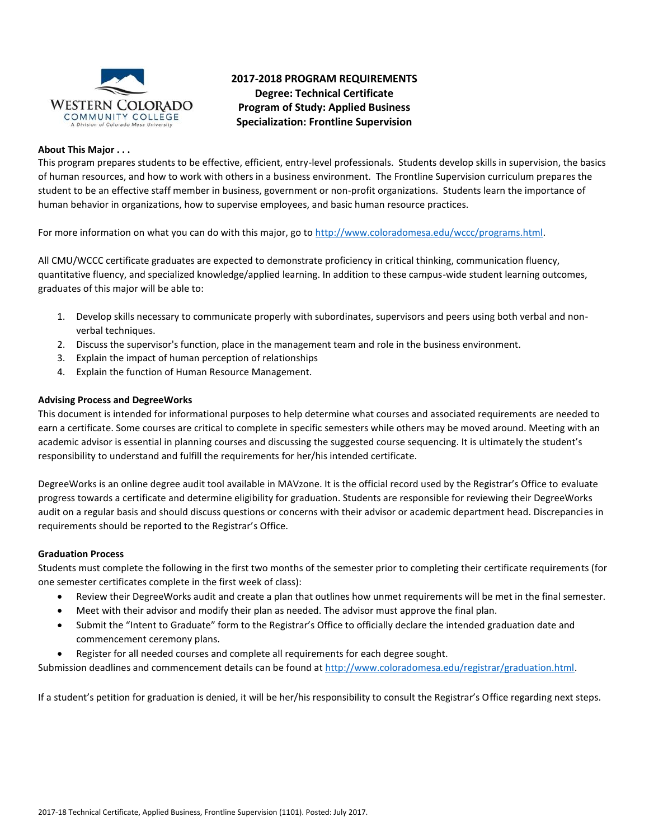

# **2017-2018 PROGRAM REQUIREMENTS Degree: Technical Certificate Program of Study: Applied Business Specialization: Frontline Supervision**

### **About This Major . . .**

This program prepares students to be effective, efficient, entry-level professionals. Students develop skills in supervision, the basics of human resources, and how to work with others in a business environment. The Frontline Supervision curriculum prepares the student to be an effective staff member in business, government or non-profit organizations. Students learn the importance of human behavior in organizations, how to supervise employees, and basic human resource practices.

For more information on what you can do with this major, go t[o http://www.coloradomesa.edu/wccc/programs.html.](http://www.coloradomesa.edu/wccc/programs.html)

All CMU/WCCC certificate graduates are expected to demonstrate proficiency in critical thinking, communication fluency, quantitative fluency, and specialized knowledge/applied learning. In addition to these campus-wide student learning outcomes, graduates of this major will be able to:

- 1. Develop skills necessary to communicate properly with subordinates, supervisors and peers using both verbal and nonverbal techniques.
- 2. Discuss the supervisor's function, place in the management team and role in the business environment.
- 3. Explain the impact of human perception of relationships
- 4. Explain the function of Human Resource Management.

### **Advising Process and DegreeWorks**

This document is intended for informational purposes to help determine what courses and associated requirements are needed to earn a certificate. Some courses are critical to complete in specific semesters while others may be moved around. Meeting with an academic advisor is essential in planning courses and discussing the suggested course sequencing. It is ultimately the student's responsibility to understand and fulfill the requirements for her/his intended certificate.

DegreeWorks is an online degree audit tool available in MAVzone. It is the official record used by the Registrar's Office to evaluate progress towards a certificate and determine eligibility for graduation. Students are responsible for reviewing their DegreeWorks audit on a regular basis and should discuss questions or concerns with their advisor or academic department head. Discrepancies in requirements should be reported to the Registrar's Office.

### **Graduation Process**

Students must complete the following in the first two months of the semester prior to completing their certificate requirements (for one semester certificates complete in the first week of class):

- Review their DegreeWorks audit and create a plan that outlines how unmet requirements will be met in the final semester.
- Meet with their advisor and modify their plan as needed. The advisor must approve the final plan.
- Submit the "Intent to Graduate" form to the Registrar's Office to officially declare the intended graduation date and commencement ceremony plans.
- Register for all needed courses and complete all requirements for each degree sought.

Submission deadlines and commencement details can be found at [http://www.coloradomesa.edu/registrar/graduation.html.](http://www.coloradomesa.edu/registrar/graduation.html)

If a student's petition for graduation is denied, it will be her/his responsibility to consult the Registrar's Office regarding next steps.